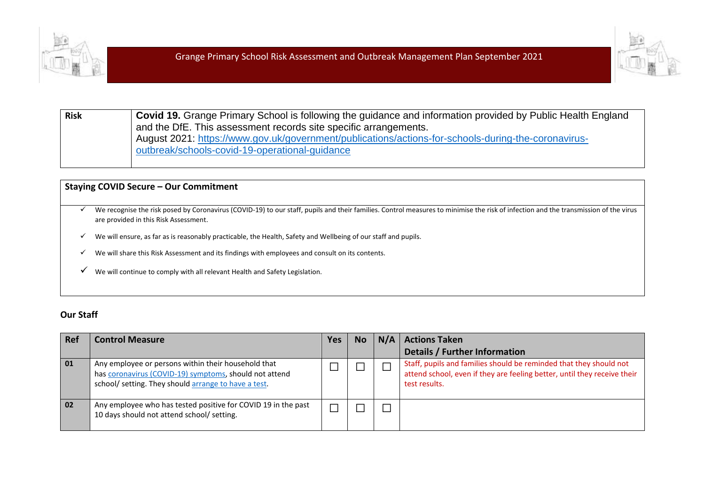



**Risk Covid 19.** Grange Primary School is following the guidance and information provided by Public Health England and the DfE. This assessment records site specific arrangements. August 2021: [https://www.gov.uk/government/publications/actions-for-schools-during-the-coronavirus](https://www.gov.uk/government/publications/actions-for-schools-during-the-coronavirus-outbreak/schools-covid-19-operational-guidance)[outbreak/schools-covid-19-operational-guidance](https://www.gov.uk/government/publications/actions-for-schools-during-the-coronavirus-outbreak/schools-covid-19-operational-guidance)

### **Staying COVID Secure – Our Commitment**

- $\checkmark$  We recognise the risk posed by Coronavirus (COVID-19) to our staff, pupils and their families. Control measures to minimise the risk of infection and the transmission of the virus are provided in this Risk Assessment.
- ✓ We will ensure, as far as is reasonably practicable, the Health, Safety and Wellbeing of our staff and pupils.
- ✓ We will share this Risk Assessment and its findings with employees and consult on its contents.
- ✓ We will continue to comply with all relevant Health and Safety Legislation.

### **Our Staff**

| Ref | <b>Control Measure</b>                                                                                                                                                | Yes | <b>No</b> | N/A   Actions Taken                                                                                                                                             |
|-----|-----------------------------------------------------------------------------------------------------------------------------------------------------------------------|-----|-----------|-----------------------------------------------------------------------------------------------------------------------------------------------------------------|
|     |                                                                                                                                                                       |     |           | Details / Further Information                                                                                                                                   |
| 01  | Any employee or persons within their household that<br>has coronavirus (COVID-19) symptoms, should not attend<br>school/ setting. They should arrange to have a test. |     |           | Staff, pupils and families should be reminded that they should not<br>attend school, even if they are feeling better, until they receive their<br>test results. |
| 02  | Any employee who has tested positive for COVID 19 in the past<br>10 days should not attend school/ setting.                                                           |     |           |                                                                                                                                                                 |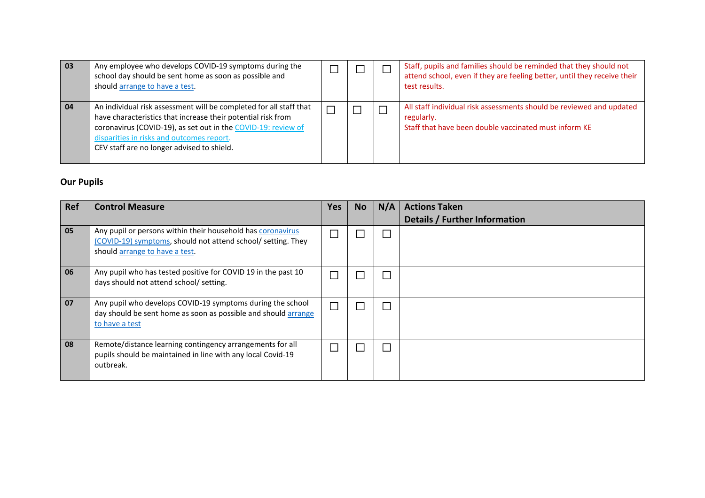| 03 | Any employee who develops COVID-19 symptoms during the<br>school day should be sent home as soon as possible and<br>should arrange to have a test.                                                                                                                                             |  | Staff, pupils and families should be reminded that they should not<br>attend school, even if they are feeling better, until they receive their<br>test results. |
|----|------------------------------------------------------------------------------------------------------------------------------------------------------------------------------------------------------------------------------------------------------------------------------------------------|--|-----------------------------------------------------------------------------------------------------------------------------------------------------------------|
| 04 | An individual risk assessment will be completed for all staff that<br>have characteristics that increase their potential risk from<br>coronavirus (COVID-19), as set out in the COVID-19: review of<br>disparities in risks and outcomes report.<br>CEV staff are no longer advised to shield. |  | All staff individual risk assessments should be reviewed and updated<br>regularly.<br>Staff that have been double vaccinated must inform KE                     |

## **Our Pupils**

| <b>Ref</b> | <b>Control Measure</b>                                                                                                                                        | Yes | <b>No</b>                   | N/A | <b>Actions Taken</b><br><b>Details / Further Information</b> |
|------------|---------------------------------------------------------------------------------------------------------------------------------------------------------------|-----|-----------------------------|-----|--------------------------------------------------------------|
| 05         | Any pupil or persons within their household has coronavirus<br>(COVID-19) symptoms, should not attend school/ setting. They<br>should arrange to have a test. |     |                             |     |                                                              |
| 06         | Any pupil who has tested positive for COVID 19 in the past 10<br>days should not attend school/ setting.                                                      |     |                             |     |                                                              |
| 07         | Any pupil who develops COVID-19 symptoms during the school<br>day should be sent home as soon as possible and should arrange<br>to have a test                | Π   |                             |     |                                                              |
| 08         | Remote/distance learning contingency arrangements for all<br>pupils should be maintained in line with any local Covid-19<br>outbreak.                         |     | $\mathcal{L}_{\mathcal{A}}$ |     |                                                              |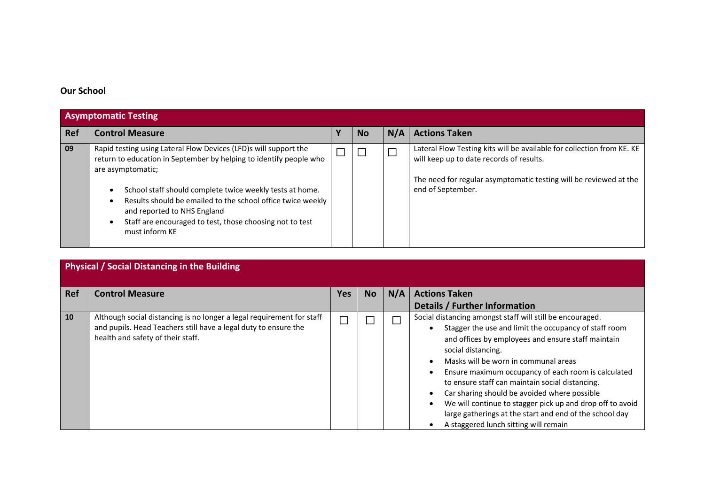# **Our School**

|            | <b>Asymptomatic Testing</b>                                                                                                                                                                                                                                                                                                                                                                         |  |           |                          |                                                                                                                                                                                                              |  |  |  |  |
|------------|-----------------------------------------------------------------------------------------------------------------------------------------------------------------------------------------------------------------------------------------------------------------------------------------------------------------------------------------------------------------------------------------------------|--|-----------|--------------------------|--------------------------------------------------------------------------------------------------------------------------------------------------------------------------------------------------------------|--|--|--|--|
| <b>Ref</b> | <b>Control Measure</b>                                                                                                                                                                                                                                                                                                                                                                              |  | <b>No</b> | N/A                      | <b>Actions Taken</b>                                                                                                                                                                                         |  |  |  |  |
| 09         | Rapid testing using Lateral Flow Devices (LFD)s will support the<br>return to education in September by helping to identify people who<br>are asymptomatic;<br>School staff should complete twice weekly tests at home.<br>Results should be emailed to the school office twice weekly<br>and reported to NHS England<br>Staff are encouraged to test, those choosing not to test<br>must inform KE |  |           | $\overline{\phantom{a}}$ | Lateral Flow Testing kits will be available for collection from KE. KE<br>will keep up to date records of results.<br>The need for regular asymptomatic testing will be reviewed at the<br>end of September. |  |  |  |  |

|     | <b>Physical / Social Distancing in the Building</b>                                                                                                                           |     |           |     |                                                                                                                                                                                                                                                                                                                                                                                                                                                                                                                                                                                |
|-----|-------------------------------------------------------------------------------------------------------------------------------------------------------------------------------|-----|-----------|-----|--------------------------------------------------------------------------------------------------------------------------------------------------------------------------------------------------------------------------------------------------------------------------------------------------------------------------------------------------------------------------------------------------------------------------------------------------------------------------------------------------------------------------------------------------------------------------------|
| Ref | <b>Control Measure</b>                                                                                                                                                        | Yes | <b>No</b> | N/A | <b>Actions Taken</b>                                                                                                                                                                                                                                                                                                                                                                                                                                                                                                                                                           |
|     |                                                                                                                                                                               |     |           |     | Details / Further Information                                                                                                                                                                                                                                                                                                                                                                                                                                                                                                                                                  |
| 10  | Although social distancing is no longer a legal requirement for staff<br>and pupils. Head Teachers still have a legal duty to ensure the<br>health and safety of their staff. |     |           | ٦   | Social distancing amongst staff will still be encouraged.<br>Stagger the use and limit the occupancy of staff room<br>and offices by employees and ensure staff maintain<br>social distancing.<br>Masks will be worn in communal areas<br>Ensure maximum occupancy of each room is calculated<br>$\bullet$<br>to ensure staff can maintain social distancing.<br>Car sharing should be avoided where possible<br>We will continue to stagger pick up and drop off to avoid<br>large gatherings at the start and end of the school day<br>A staggered lunch sitting will remain |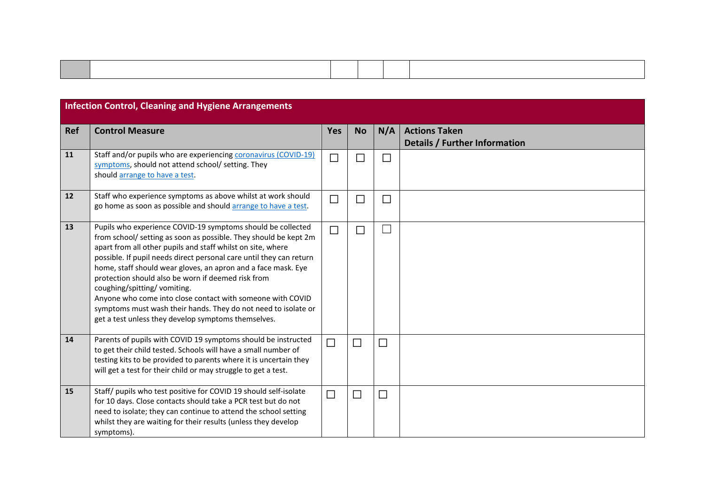|            | <b>Infection Control, Cleaning and Hygiene Arrangements</b>                                                                                                                                                                                                                                                                                                                                                                                                                                                                                                                                                        |                             |                             |                             |                                                       |
|------------|--------------------------------------------------------------------------------------------------------------------------------------------------------------------------------------------------------------------------------------------------------------------------------------------------------------------------------------------------------------------------------------------------------------------------------------------------------------------------------------------------------------------------------------------------------------------------------------------------------------------|-----------------------------|-----------------------------|-----------------------------|-------------------------------------------------------|
| <b>Ref</b> | <b>Control Measure</b>                                                                                                                                                                                                                                                                                                                                                                                                                                                                                                                                                                                             | <b>Yes</b>                  | <b>No</b>                   | N/A                         | <b>Actions Taken</b><br>Details / Further Information |
| 11         | Staff and/or pupils who are experiencing coronavirus (COVID-19)<br>symptoms, should not attend school/ setting. They<br>should arrange to have a test.                                                                                                                                                                                                                                                                                                                                                                                                                                                             | $\mathcal{L}_{\mathcal{A}}$ | $\Box$                      | $\Box$                      |                                                       |
| 12         | Staff who experience symptoms as above whilst at work should<br>go home as soon as possible and should arrange to have a test.                                                                                                                                                                                                                                                                                                                                                                                                                                                                                     | $\Box$                      | $\mathcal{L}_{\mathcal{A}}$ | $\Box$                      |                                                       |
| 13         | Pupils who experience COVID-19 symptoms should be collected<br>from school/ setting as soon as possible. They should be kept 2m<br>apart from all other pupils and staff whilst on site, where<br>possible. If pupil needs direct personal care until they can return<br>home, staff should wear gloves, an apron and a face mask. Eye<br>protection should also be worn if deemed risk from<br>coughing/spitting/vomiting.<br>Anyone who come into close contact with someone with COVID<br>symptoms must wash their hands. They do not need to isolate or<br>get a test unless they develop symptoms themselves. | ٦                           | $\Box$                      | $\mathcal{L}_{\mathcal{A}}$ |                                                       |
| 14         | Parents of pupils with COVID 19 symptoms should be instructed<br>to get their child tested. Schools will have a small number of<br>testing kits to be provided to parents where it is uncertain they<br>will get a test for their child or may struggle to get a test.                                                                                                                                                                                                                                                                                                                                             | $\Box$                      | $\Box$                      | $\Box$                      |                                                       |
| 15         | Staff/ pupils who test positive for COVID 19 should self-isolate<br>for 10 days. Close contacts should take a PCR test but do not<br>need to isolate; they can continue to attend the school setting<br>whilst they are waiting for their results (unless they develop<br>symptoms).                                                                                                                                                                                                                                                                                                                               | $\Box$                      | $\Box$                      | $\Box$                      |                                                       |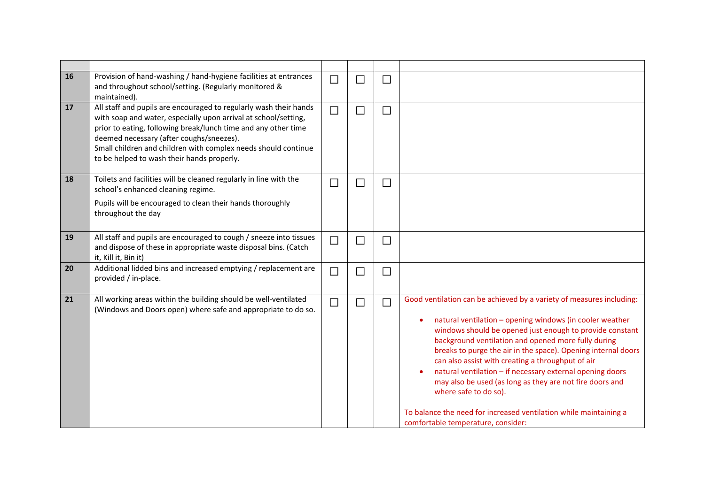| 16 | Provision of hand-washing / hand-hygiene facilities at entrances<br>and throughout school/setting. (Regularly monitored &<br>maintained).                                                                                                                                                                                                                          | $\Box$ | $\Box$ | $\Box$                      |                                                                                                                                                                                                                                                                                                                                                                                                                                                                                                                                                                                                                                        |
|----|--------------------------------------------------------------------------------------------------------------------------------------------------------------------------------------------------------------------------------------------------------------------------------------------------------------------------------------------------------------------|--------|--------|-----------------------------|----------------------------------------------------------------------------------------------------------------------------------------------------------------------------------------------------------------------------------------------------------------------------------------------------------------------------------------------------------------------------------------------------------------------------------------------------------------------------------------------------------------------------------------------------------------------------------------------------------------------------------------|
| 17 | All staff and pupils are encouraged to regularly wash their hands<br>with soap and water, especially upon arrival at school/setting,<br>prior to eating, following break/lunch time and any other time<br>deemed necessary (after coughs/sneezes).<br>Small children and children with complex needs should continue<br>to be helped to wash their hands properly. | $\Box$ | $\Box$ | $\Box$                      |                                                                                                                                                                                                                                                                                                                                                                                                                                                                                                                                                                                                                                        |
| 18 | Toilets and facilities will be cleaned regularly in line with the<br>school's enhanced cleaning regime.<br>Pupils will be encouraged to clean their hands thoroughly<br>throughout the day                                                                                                                                                                         | $\Box$ | $\Box$ | $\Box$                      |                                                                                                                                                                                                                                                                                                                                                                                                                                                                                                                                                                                                                                        |
| 19 | All staff and pupils are encouraged to cough / sneeze into tissues<br>and dispose of these in appropriate waste disposal bins. (Catch<br>it, Kill it, Bin it)                                                                                                                                                                                                      | $\Box$ | $\Box$ | $\Box$                      |                                                                                                                                                                                                                                                                                                                                                                                                                                                                                                                                                                                                                                        |
| 20 | Additional lidded bins and increased emptying / replacement are<br>provided / in-place.                                                                                                                                                                                                                                                                            | $\Box$ | $\Box$ | $\Box$                      |                                                                                                                                                                                                                                                                                                                                                                                                                                                                                                                                                                                                                                        |
| 21 | All working areas within the building should be well-ventilated<br>(Windows and Doors open) where safe and appropriate to do so.                                                                                                                                                                                                                                   | $\Box$ | $\Box$ | $\mathcal{L}_{\mathcal{A}}$ | Good ventilation can be achieved by a variety of measures including:<br>natural ventilation - opening windows (in cooler weather<br>windows should be opened just enough to provide constant<br>background ventilation and opened more fully during<br>breaks to purge the air in the space). Opening internal doors<br>can also assist with creating a throughput of air<br>natural ventilation - if necessary external opening doors<br>may also be used (as long as they are not fire doors and<br>where safe to do so).<br>To balance the need for increased ventilation while maintaining a<br>comfortable temperature, consider: |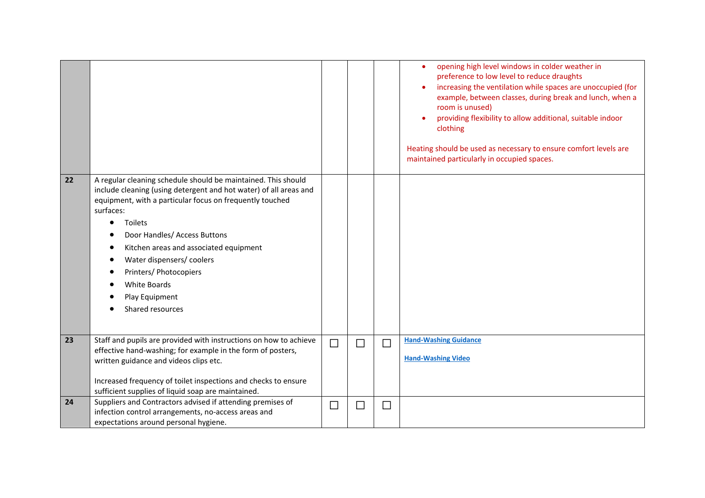|    |                                                                                                                                                                                                                                                                                                                                                                                                                                          |        |        |        | opening high level windows in colder weather in<br>$\bullet$<br>preference to low level to reduce draughts<br>increasing the ventilation while spaces are unoccupied (for<br>example, between classes, during break and lunch, when a<br>room is unused)<br>providing flexibility to allow additional, suitable indoor<br>clothing<br>Heating should be used as necessary to ensure comfort levels are<br>maintained particularly in occupied spaces. |
|----|------------------------------------------------------------------------------------------------------------------------------------------------------------------------------------------------------------------------------------------------------------------------------------------------------------------------------------------------------------------------------------------------------------------------------------------|--------|--------|--------|-------------------------------------------------------------------------------------------------------------------------------------------------------------------------------------------------------------------------------------------------------------------------------------------------------------------------------------------------------------------------------------------------------------------------------------------------------|
| 22 | A regular cleaning schedule should be maintained. This should<br>include cleaning (using detergent and hot water) of all areas and<br>equipment, with a particular focus on frequently touched<br>surfaces:<br><b>Toilets</b><br>$\bullet$<br>Door Handles/ Access Buttons<br>Kitchen areas and associated equipment<br>Water dispensers/ coolers<br>Printers/ Photocopiers<br><b>White Boards</b><br>Play Equipment<br>Shared resources |        |        |        |                                                                                                                                                                                                                                                                                                                                                                                                                                                       |
| 23 | Staff and pupils are provided with instructions on how to achieve<br>effective hand-washing; for example in the form of posters,<br>written guidance and videos clips etc.<br>Increased frequency of toilet inspections and checks to ensure<br>sufficient supplies of liquid soap are maintained.                                                                                                                                       | $\Box$ | $\Box$ | $\Box$ | <b>Hand-Washing Guidance</b><br><b>Hand-Washing Video</b>                                                                                                                                                                                                                                                                                                                                                                                             |
| 24 | Suppliers and Contractors advised if attending premises of<br>infection control arrangements, no-access areas and<br>expectations around personal hygiene.                                                                                                                                                                                                                                                                               | $\Box$ | $\Box$ | $\Box$ |                                                                                                                                                                                                                                                                                                                                                                                                                                                       |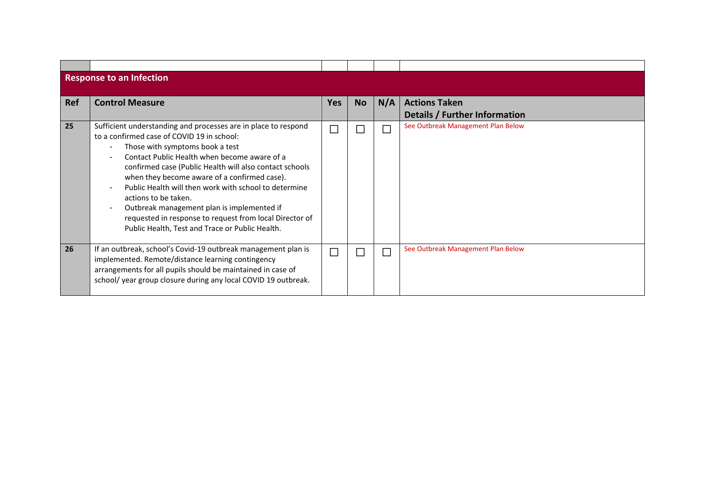|            | <b>Response to an Infection</b>                                                                                                                                                                                                                                                                                                                                                                                                                                                                                                                                                                                 |            |           |     |                                                       |
|------------|-----------------------------------------------------------------------------------------------------------------------------------------------------------------------------------------------------------------------------------------------------------------------------------------------------------------------------------------------------------------------------------------------------------------------------------------------------------------------------------------------------------------------------------------------------------------------------------------------------------------|------------|-----------|-----|-------------------------------------------------------|
| <b>Ref</b> | <b>Control Measure</b>                                                                                                                                                                                                                                                                                                                                                                                                                                                                                                                                                                                          | <b>Yes</b> | <b>No</b> | N/A | <b>Actions Taken</b><br>Details / Further Information |
| 25         | Sufficient understanding and processes are in place to respond<br>to a confirmed case of COVID 19 in school:<br>Those with symptoms book a test<br>Contact Public Health when become aware of a<br>confirmed case (Public Health will also contact schools<br>when they become aware of a confirmed case).<br>Public Health will then work with school to determine<br>$\overline{\phantom{a}}$<br>actions to be taken.<br>Outbreak management plan is implemented if<br>$\overline{\phantom{a}}$<br>requested in response to request from local Director of<br>Public Health, Test and Trace or Public Health. |            |           |     | See Outbreak Management Plan Below                    |
| 26         | If an outbreak, school's Covid-19 outbreak management plan is<br>implemented. Remote/distance learning contingency<br>arrangements for all pupils should be maintained in case of<br>school/ year group closure during any local COVID 19 outbreak.                                                                                                                                                                                                                                                                                                                                                             |            | $\sim$    |     | See Outbreak Management Plan Below                    |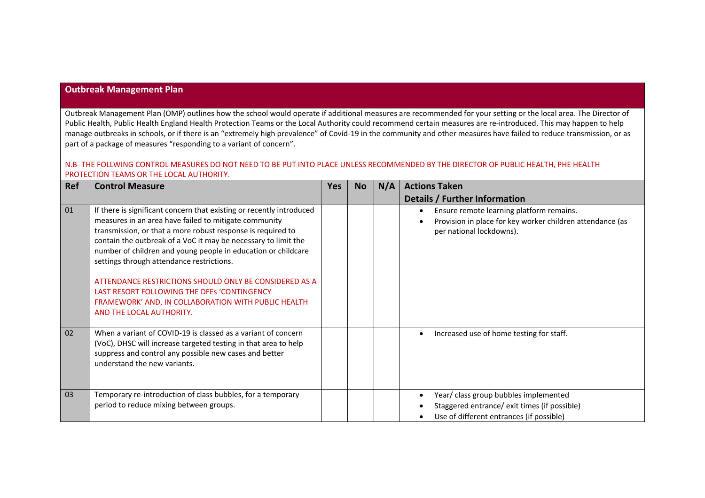### **Outbreak Management Plan**

Outbreak Management Plan (OMP) outlines how the school would operate if additional measures are recommended for your setting or the local area. The Director of Public Health, Public Health England Health Protection Teams or the Local Authority could recommend certain measures are re-introduced. This may happen to help manage outbreaks in schools, or if there is an "extremely high prevalence" of Covid-19 in the community and other measures have failed to reduce transmission, or as part of a package of measures "responding to a variant of concern".

#### N.B- THE FOLLWING CONTROL MEASURES DO NOT NEED TO BE PUT INTO PLACE UNLESS RECOMMENDED BY THE DIRECTOR OF PUBLIC HEALTH, PHE HEALTH PROTECTION TEAMS OR THE LOCAL AUTHORITY.

| Ref | <b>Control Measure</b>                                                                                                                                                                                                                                                                                                                                                                                                                                                                                                                                                   | <b>Yes</b> | <b>No</b> | N/A | <b>Actions Taken</b>                                                                                                                           |
|-----|--------------------------------------------------------------------------------------------------------------------------------------------------------------------------------------------------------------------------------------------------------------------------------------------------------------------------------------------------------------------------------------------------------------------------------------------------------------------------------------------------------------------------------------------------------------------------|------------|-----------|-----|------------------------------------------------------------------------------------------------------------------------------------------------|
|     |                                                                                                                                                                                                                                                                                                                                                                                                                                                                                                                                                                          |            |           |     | Details / Further Information                                                                                                                  |
| 01  | If there is significant concern that existing or recently introduced<br>measures in an area have failed to mitigate community<br>transmission, or that a more robust response is required to<br>contain the outbreak of a VoC it may be necessary to limit the<br>number of children and young people in education or childcare<br>settings through attendance restrictions.<br>ATTENDANCE RESTRICTIONS SHOULD ONLY BE CONSIDERED AS A<br>LAST RESORT FOLLOWING THE DFES 'CONTINGENCY<br>FRAMEWORK' AND, IN COLLABORATION WITH PUBLIC HEALTH<br>AND THE LOCAL AUTHORITY. |            |           |     | Ensure remote learning platform remains.<br>$\bullet$<br>Provision in place for key worker children attendance (as<br>per national lockdowns). |
| 02  | When a variant of COVID-19 is classed as a variant of concern<br>(VoC), DHSC will increase targeted testing in that area to help<br>suppress and control any possible new cases and better<br>understand the new variants.                                                                                                                                                                                                                                                                                                                                               |            |           |     | Increased use of home testing for staff.                                                                                                       |
| 03  | Temporary re-introduction of class bubbles, for a temporary<br>period to reduce mixing between groups.                                                                                                                                                                                                                                                                                                                                                                                                                                                                   |            |           |     | Year/ class group bubbles implemented<br>Staggered entrance/ exit times (if possible)<br>Use of different entrances (if possible)              |